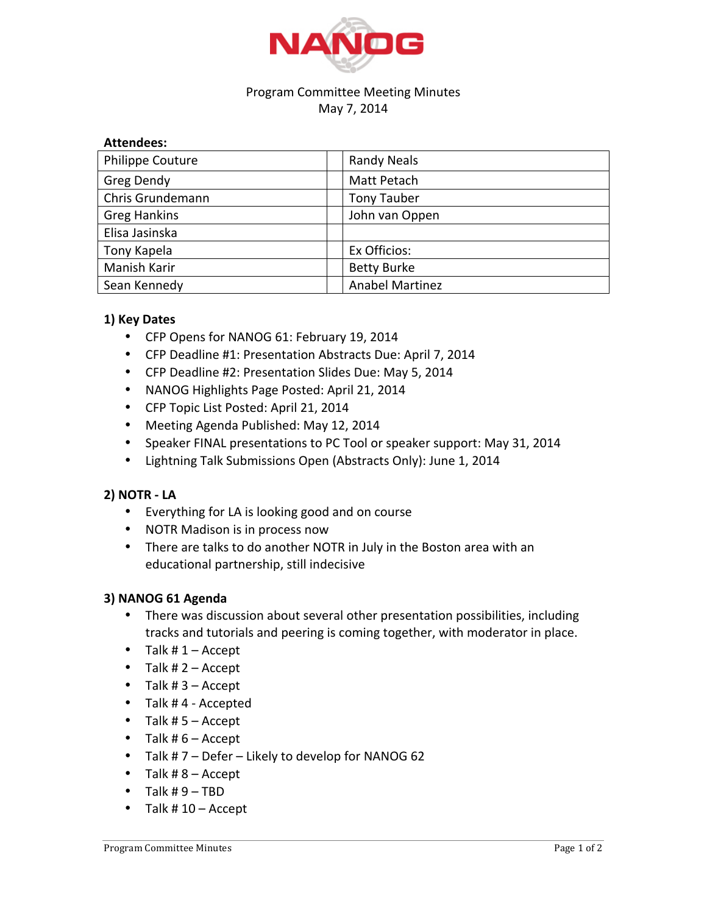

## Program Committee Meeting Minutes May 7, 2014

## **Attendees:**

| Philippe Couture    | <b>Randy Neals</b>     |
|---------------------|------------------------|
| Greg Dendy          | Matt Petach            |
| Chris Grundemann    | Tony Tauber            |
| <b>Greg Hankins</b> | John van Oppen         |
| Elisa Jasinska      |                        |
| Tony Kapela         | Ex Officios:           |
| Manish Karir        | <b>Betty Burke</b>     |
| Sean Kennedy        | <b>Anabel Martinez</b> |

# **1) Key Dates**

- CFP Opens for NANOG 61: February 19, 2014
- CFP Deadline #1: Presentation Abstracts Due: April 7, 2014
- CFP Deadline #2: Presentation Slides Due: May 5, 2014
- NANOG Highlights Page Posted: April 21, 2014
- CFP Topic List Posted: April 21, 2014
- Meeting Agenda Published: May 12, 2014
- Speaker FINAL presentations to PC Tool or speaker support: May 31, 2014
- Lightning Talk Submissions Open (Abstracts Only): June 1, 2014

# **2) NOTR - LA**

- Everything for LA is looking good and on course
- NOTR Madison is in process now
- There are talks to do another NOTR in July in the Boston area with an educational partnership, still indecisive

# **3) NANOG 61 Agenda**

- There was discussion about several other presentation possibilities, including tracks and tutorials and peering is coming together, with moderator in place.
- Talk  $# 1 -$  Accept
- Talk  $# 2 -$  Accept
- Talk  $#3 -$  Accept
- Talk #4 Accepted
- Talk  $# 5 -$  Accept
- Talk  $# 6 -$  Accept
- Talk  $# 7 -$  Defer Likely to develop for NANOG 62
- Talk  $# 8 -$  Accept
- Talk  $#9 TBD$
- Talk  $# 10 -$  Accept